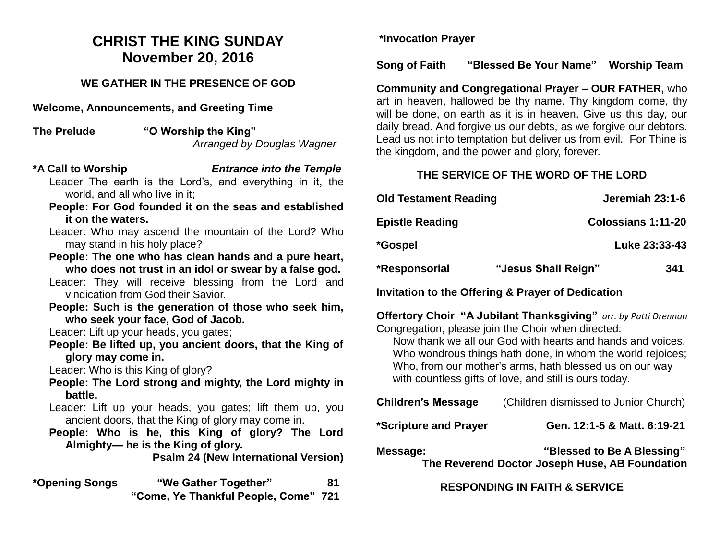# **CHRIST THE KING SUNDAY November 20, 2016**

### **WE GATHER IN THE PRESENCE OF GOD**

**Welcome, Announcements, and Greeting Time** 

**The Prelude "O Worship the King"**  *Arranged by Douglas Wagner* 

#### **\*A Call to Worship** *Entrance into the Temple*

Leader The earth is the Lord's, and everything in it, the world, and all who live in it;

- **People: For God founded it on the seas and established it on the waters.**
- Leader: Who may ascend the mountain of the Lord? Who may stand in his holy place?
- **People: The one who has clean hands and a pure heart, who does not trust in an idol or swear by a false god.**
- Leader: They will receive blessing from the Lord and vindication from God their Savior.
- **People: Such is the generation of those who seek him, who seek your face, God of Jacob.**

Leader: Lift up your heads, you gates;

**People: Be lifted up, you ancient doors, that the King of glory may come in.**

Leader: Who is this King of glory?

- **People: The Lord strong and mighty, the Lord mighty in battle.**
- Leader: Lift up your heads, you gates; lift them up, you ancient doors, that the King of glory may come in.
- **People: Who is he, this King of glory? The Lord Almighty— he is the King of glory.**

**Psalm 24 (New International Version)**

**\*Opening Songs "We Gather Together" 81 "Come, Ye Thankful People, Come" 721** 

**\*Invocation Prayer**

### **Song of Faith "Blessed Be Your Name" Worship Team**

**Community and Congregational Prayer – OUR FATHER,** who art in heaven, hallowed be thy name. Thy kingdom come, thy will be done, on earth as it is in heaven. Give us this day, our daily bread. And forgive us our debts, as we forgive our debtors. Lead us not into temptation but deliver us from evil. For Thine is the kingdom, and the power and glory, forever.

### **THE SERVICE OF THE WORD OF THE LORD**

| <b>Old Testament Reading</b> |                     | Jeremiah 23:1-6           |
|------------------------------|---------------------|---------------------------|
| <b>Epistle Reading</b>       |                     | <b>Colossians 1:11-20</b> |
| *Gospel                      |                     | Luke 23:33-43             |
| *Responsorial                | "Jesus Shall Reign" | 341                       |

**Invitation to the Offering & Prayer of Dedication** 

**Offertory Choir "A Jubilant Thanksgiving"** *arr. by Patti Drennan* Congregation, please join the Choir when directed:

Now thank we all our God with hearts and hands and voices. Who wondrous things hath done, in whom the world rejoices; Who, from our mother's arms, hath blessed us on our way with countless gifts of love, and still is ours today.

| <b>Children's Message</b> | (Children dismissed to Junior Church)                                                |
|---------------------------|--------------------------------------------------------------------------------------|
| *Scripture and Prayer     | Gen. 12:1-5 & Matt. 6:19-21                                                          |
| Message:                  | "Blessed to Be A Blessing"<br>The Berraman J.Benton, January J.J. J.B. Ferra Julian. |

**The Reverend Doctor Joseph Huse, AB Foundation**

## **RESPONDING IN FAITH & SERVICE**